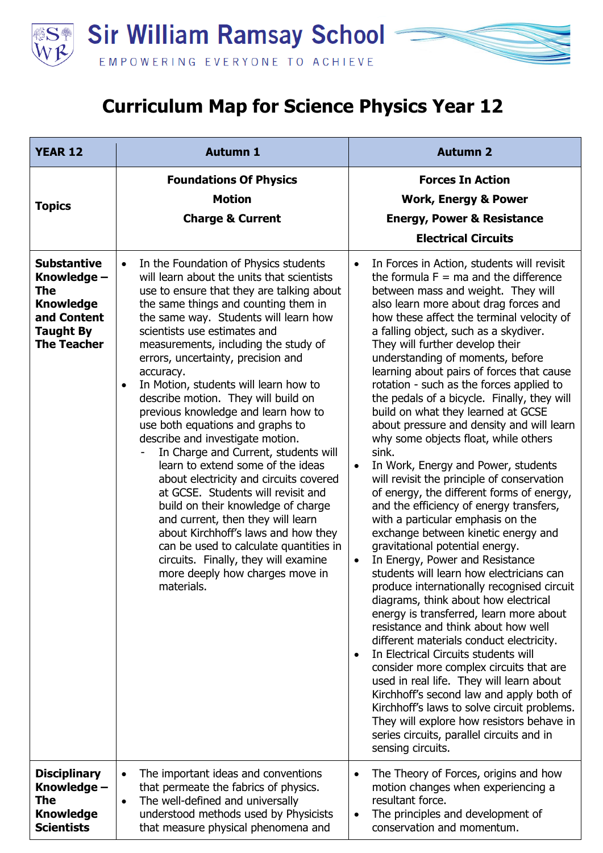

## **Curriculum Map for Science Physics Year 12**

| <b>YEAR 12</b>                                                                                                        | <b>Autumn 1</b>                                                                                                                                                                                                                                                                                                                                                                                                                                                                                                                                                                                                                                                                                                                                                                                                                                                                                                                                                                         | <b>Autumn 2</b>                                                                                                                                                                                                                                                                                                                                                                                                                                                                                                                                                                                                                                                                                                                                                                                                                                                                                                                                                                                                                                                                                                                                                                                                                                                                                                                                                                                                                                                                                                                                                                                           |
|-----------------------------------------------------------------------------------------------------------------------|-----------------------------------------------------------------------------------------------------------------------------------------------------------------------------------------------------------------------------------------------------------------------------------------------------------------------------------------------------------------------------------------------------------------------------------------------------------------------------------------------------------------------------------------------------------------------------------------------------------------------------------------------------------------------------------------------------------------------------------------------------------------------------------------------------------------------------------------------------------------------------------------------------------------------------------------------------------------------------------------|-----------------------------------------------------------------------------------------------------------------------------------------------------------------------------------------------------------------------------------------------------------------------------------------------------------------------------------------------------------------------------------------------------------------------------------------------------------------------------------------------------------------------------------------------------------------------------------------------------------------------------------------------------------------------------------------------------------------------------------------------------------------------------------------------------------------------------------------------------------------------------------------------------------------------------------------------------------------------------------------------------------------------------------------------------------------------------------------------------------------------------------------------------------------------------------------------------------------------------------------------------------------------------------------------------------------------------------------------------------------------------------------------------------------------------------------------------------------------------------------------------------------------------------------------------------------------------------------------------------|
| <b>Topics</b>                                                                                                         | <b>Foundations Of Physics</b><br><b>Motion</b><br><b>Charge &amp; Current</b>                                                                                                                                                                                                                                                                                                                                                                                                                                                                                                                                                                                                                                                                                                                                                                                                                                                                                                           | <b>Forces In Action</b><br><b>Work, Energy &amp; Power</b><br><b>Energy, Power &amp; Resistance</b><br><b>Electrical Circuits</b>                                                                                                                                                                                                                                                                                                                                                                                                                                                                                                                                                                                                                                                                                                                                                                                                                                                                                                                                                                                                                                                                                                                                                                                                                                                                                                                                                                                                                                                                         |
| <b>Substantive</b><br>Knowledge -<br>The<br><b>Knowledge</b><br>and Content<br><b>Taught By</b><br><b>The Teacher</b> | In the Foundation of Physics students<br>$\bullet$<br>will learn about the units that scientists<br>use to ensure that they are talking about<br>the same things and counting them in<br>the same way. Students will learn how<br>scientists use estimates and<br>measurements, including the study of<br>errors, uncertainty, precision and<br>accuracy.<br>In Motion, students will learn how to<br>$\bullet$<br>describe motion. They will build on<br>previous knowledge and learn how to<br>use both equations and graphs to<br>describe and investigate motion.<br>In Charge and Current, students will<br>learn to extend some of the ideas<br>about electricity and circuits covered<br>at GCSE. Students will revisit and<br>build on their knowledge of charge<br>and current, then they will learn<br>about Kirchhoff's laws and how they<br>can be used to calculate quantities in<br>circuits. Finally, they will examine<br>more deeply how charges move in<br>materials. | In Forces in Action, students will revisit<br>$\bullet$<br>the formula $F = ma$ and the difference<br>between mass and weight. They will<br>also learn more about drag forces and<br>how these affect the terminal velocity of<br>a falling object, such as a skydiver.<br>They will further develop their<br>understanding of moments, before<br>learning about pairs of forces that cause<br>rotation - such as the forces applied to<br>the pedals of a bicycle. Finally, they will<br>build on what they learned at GCSE<br>about pressure and density and will learn<br>why some objects float, while others<br>sink.<br>In Work, Energy and Power, students<br>$\bullet$<br>will revisit the principle of conservation<br>of energy, the different forms of energy,<br>and the efficiency of energy transfers,<br>with a particular emphasis on the<br>exchange between kinetic energy and<br>gravitational potential energy.<br>In Energy, Power and Resistance<br>$\bullet$<br>students will learn how electricians can<br>produce internationally recognised circuit<br>diagrams, think about how electrical<br>energy is transferred, learn more about<br>resistance and think about how well<br>different materials conduct electricity.<br>In Electrical Circuits students will<br>$\bullet$<br>consider more complex circuits that are<br>used in real life. They will learn about<br>Kirchhoff's second law and apply both of<br>Kirchhoff's laws to solve circuit problems.<br>They will explore how resistors behave in<br>series circuits, parallel circuits and in<br>sensing circuits. |
| <b>Disciplinary</b><br>Knowledge -<br><b>The</b><br><b>Knowledge</b><br><b>Scientists</b>                             | The important ideas and conventions<br>$\bullet$<br>that permeate the fabrics of physics.<br>The well-defined and universally<br>$\bullet$<br>understood methods used by Physicists<br>that measure physical phenomena and                                                                                                                                                                                                                                                                                                                                                                                                                                                                                                                                                                                                                                                                                                                                                              | The Theory of Forces, origins and how<br>$\bullet$<br>motion changes when experiencing a<br>resultant force.<br>The principles and development of<br>$\bullet$<br>conservation and momentum.                                                                                                                                                                                                                                                                                                                                                                                                                                                                                                                                                                                                                                                                                                                                                                                                                                                                                                                                                                                                                                                                                                                                                                                                                                                                                                                                                                                                              |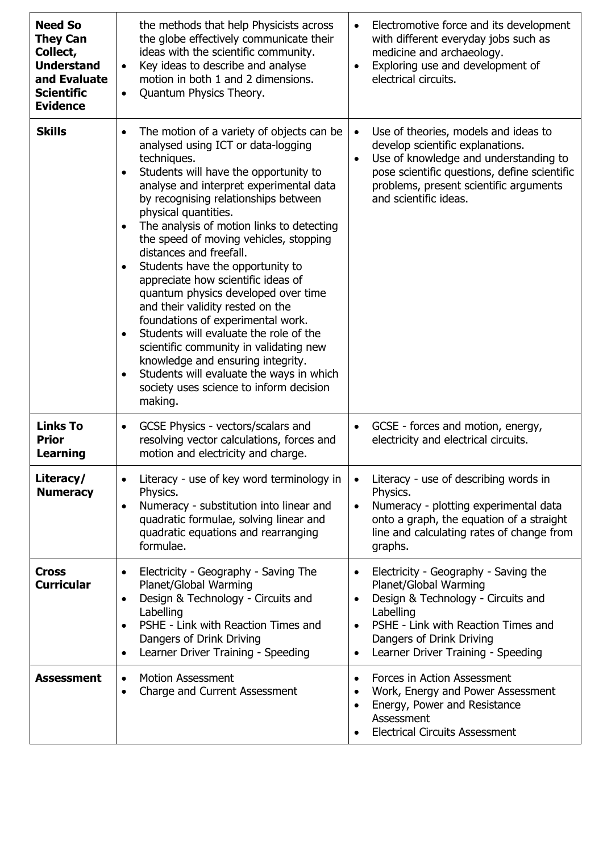| <b>Need So</b><br><b>They Can</b><br>Collect,<br><b>Understand</b><br>and Evaluate<br><b>Scientific</b><br><b>Evidence</b> | the methods that help Physicists across<br>the globe effectively communicate their<br>ideas with the scientific community.<br>Key ideas to describe and analyse<br>motion in both 1 and 2 dimensions.<br>Quantum Physics Theory.<br>$\bullet$                                                                                                                                                                                                                                                                                                                                                                                                                                                                                                                                                          | Electromotive force and its development<br>$\bullet$<br>with different everyday jobs such as<br>medicine and archaeology.<br>Exploring use and development of<br>$\bullet$<br>electrical circuits.                                                                    |
|----------------------------------------------------------------------------------------------------------------------------|--------------------------------------------------------------------------------------------------------------------------------------------------------------------------------------------------------------------------------------------------------------------------------------------------------------------------------------------------------------------------------------------------------------------------------------------------------------------------------------------------------------------------------------------------------------------------------------------------------------------------------------------------------------------------------------------------------------------------------------------------------------------------------------------------------|-----------------------------------------------------------------------------------------------------------------------------------------------------------------------------------------------------------------------------------------------------------------------|
| <b>Skills</b>                                                                                                              | The motion of a variety of objects can be<br>analysed using ICT or data-logging<br>techniques.<br>Students will have the opportunity to<br>analyse and interpret experimental data<br>by recognising relationships between<br>physical quantities.<br>The analysis of motion links to detecting<br>the speed of moving vehicles, stopping<br>distances and freefall.<br>Students have the opportunity to<br>appreciate how scientific ideas of<br>quantum physics developed over time<br>and their validity rested on the<br>foundations of experimental work.<br>Students will evaluate the role of the<br>$\bullet$<br>scientific community in validating new<br>knowledge and ensuring integrity.<br>Students will evaluate the ways in which<br>society uses science to inform decision<br>making. | Use of theories, models and ideas to<br>$\bullet$<br>develop scientific explanations.<br>Use of knowledge and understanding to<br>$\bullet$<br>pose scientific questions, define scientific<br>problems, present scientific arguments<br>and scientific ideas.        |
| <b>Links To</b><br><b>Prior</b><br><b>Learning</b>                                                                         | GCSE Physics - vectors/scalars and<br>$\bullet$<br>resolving vector calculations, forces and<br>motion and electricity and charge.                                                                                                                                                                                                                                                                                                                                                                                                                                                                                                                                                                                                                                                                     | GCSE - forces and motion, energy,<br>$\bullet$<br>electricity and electrical circuits.                                                                                                                                                                                |
| Literacy/<br><b>Numeracy</b>                                                                                               | Literacy - use of key word terminology in<br>Physics.<br>Numeracy - substitution into linear and<br>$\bullet$<br>quadratic formulae, solving linear and<br>quadratic equations and rearranging<br>formulae.                                                                                                                                                                                                                                                                                                                                                                                                                                                                                                                                                                                            | Literacy - use of describing words in<br>٠<br>Physics.<br>Numeracy - plotting experimental data<br>$\bullet$<br>onto a graph, the equation of a straight<br>line and calculating rates of change from<br>graphs.                                                      |
| <b>Cross</b><br><b>Curricular</b>                                                                                          | Electricity - Geography - Saving The<br>Planet/Global Warming<br>Design & Technology - Circuits and<br>Labelling<br>PSHE - Link with Reaction Times and<br>Dangers of Drink Driving<br>Learner Driver Training - Speeding                                                                                                                                                                                                                                                                                                                                                                                                                                                                                                                                                                              | Electricity - Geography - Saving the<br>$\bullet$<br>Planet/Global Warming<br>Design & Technology - Circuits and<br>$\bullet$<br>Labelling<br>PSHE - Link with Reaction Times and<br>$\bullet$<br>Dangers of Drink Driving<br>Learner Driver Training - Speeding<br>٠ |
| <b>Assessment</b>                                                                                                          | <b>Motion Assessment</b><br>Charge and Current Assessment<br>$\bullet$                                                                                                                                                                                                                                                                                                                                                                                                                                                                                                                                                                                                                                                                                                                                 | Forces in Action Assessment<br>$\bullet$<br>Work, Energy and Power Assessment<br>٠<br>Energy, Power and Resistance<br>$\bullet$<br>Assessment<br><b>Electrical Circuits Assessment</b>                                                                                |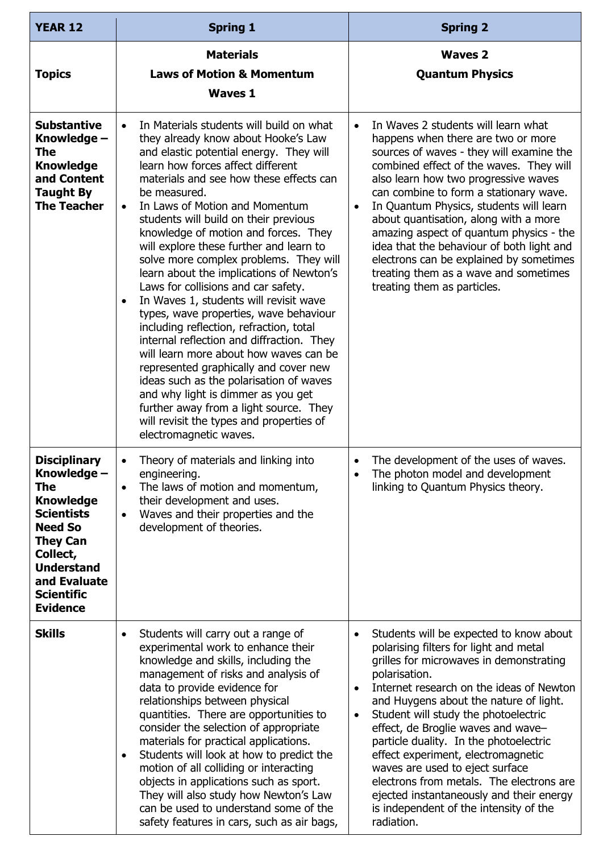| <b>YEAR 12</b>                                                                                                                                                                                                   | <b>Spring 1</b>                                                                                                                                                                                                                                                                                                                                                                                                                                                                                                                                                                                                                                                                                                                                                                                                                                                                                                                                                                                                              | <b>Spring 2</b>                                                                                                                                                                                                                                                                                                                                                                                                                                                                                                                                                                                                     |
|------------------------------------------------------------------------------------------------------------------------------------------------------------------------------------------------------------------|------------------------------------------------------------------------------------------------------------------------------------------------------------------------------------------------------------------------------------------------------------------------------------------------------------------------------------------------------------------------------------------------------------------------------------------------------------------------------------------------------------------------------------------------------------------------------------------------------------------------------------------------------------------------------------------------------------------------------------------------------------------------------------------------------------------------------------------------------------------------------------------------------------------------------------------------------------------------------------------------------------------------------|---------------------------------------------------------------------------------------------------------------------------------------------------------------------------------------------------------------------------------------------------------------------------------------------------------------------------------------------------------------------------------------------------------------------------------------------------------------------------------------------------------------------------------------------------------------------------------------------------------------------|
| <b>Topics</b>                                                                                                                                                                                                    | <b>Materials</b><br><b>Laws of Motion &amp; Momentum</b><br><b>Waves 1</b>                                                                                                                                                                                                                                                                                                                                                                                                                                                                                                                                                                                                                                                                                                                                                                                                                                                                                                                                                   | <b>Waves 2</b><br><b>Quantum Physics</b>                                                                                                                                                                                                                                                                                                                                                                                                                                                                                                                                                                            |
| <b>Substantive</b><br>Knowledge -<br>The<br><b>Knowledge</b><br>and Content<br><b>Taught By</b><br><b>The Teacher</b>                                                                                            | In Materials students will build on what<br>$\bullet$<br>they already know about Hooke's Law<br>and elastic potential energy. They will<br>learn how forces affect different<br>materials and see how these effects can<br>be measured.<br>In Laws of Motion and Momentum<br>$\bullet$<br>students will build on their previous<br>knowledge of motion and forces. They<br>will explore these further and learn to<br>solve more complex problems. They will<br>learn about the implications of Newton's<br>Laws for collisions and car safety.<br>In Waves 1, students will revisit wave<br>$\bullet$<br>types, wave properties, wave behaviour<br>including reflection, refraction, total<br>internal reflection and diffraction. They<br>will learn more about how waves can be<br>represented graphically and cover new<br>ideas such as the polarisation of waves<br>and why light is dimmer as you get<br>further away from a light source. They<br>will revisit the types and properties of<br>electromagnetic waves. | In Waves 2 students will learn what<br>$\bullet$<br>happens when there are two or more<br>sources of waves - they will examine the<br>combined effect of the waves. They will<br>also learn how two progressive waves<br>can combine to form a stationary wave.<br>In Quantum Physics, students will learn<br>$\bullet$<br>about quantisation, along with a more<br>amazing aspect of quantum physics - the<br>idea that the behaviour of both light and<br>electrons can be explained by sometimes<br>treating them as a wave and sometimes<br>treating them as particles.                                         |
| <b>Disciplinary</b><br>Knowledge -<br>The<br><b>Knowledge</b><br><b>Scientists</b><br><b>Need So</b><br><b>They Can</b><br>Collect,<br><b>Understand</b><br>and Evaluate<br><b>Scientific</b><br><b>Evidence</b> | Theory of materials and linking into<br>engineering.<br>The laws of motion and momentum,<br>$\bullet$<br>their development and uses.<br>Waves and their properties and the<br>$\bullet$<br>development of theories.                                                                                                                                                                                                                                                                                                                                                                                                                                                                                                                                                                                                                                                                                                                                                                                                          | The development of the uses of waves.<br>$\bullet$<br>The photon model and development<br>linking to Quantum Physics theory.                                                                                                                                                                                                                                                                                                                                                                                                                                                                                        |
| <b>Skills</b>                                                                                                                                                                                                    | Students will carry out a range of<br>$\bullet$<br>experimental work to enhance their<br>knowledge and skills, including the<br>management of risks and analysis of<br>data to provide evidence for<br>relationships between physical<br>quantities. There are opportunities to<br>consider the selection of appropriate<br>materials for practical applications.<br>Students will look at how to predict the<br>٠<br>motion of all colliding or interacting<br>objects in applications such as sport.<br>They will also study how Newton's Law<br>can be used to understand some of the<br>safety features in cars, such as air bags,                                                                                                                                                                                                                                                                                                                                                                                       | Students will be expected to know about<br>٠<br>polarising filters for light and metal<br>grilles for microwaves in demonstrating<br>polarisation.<br>Internet research on the ideas of Newton<br>$\bullet$<br>and Huygens about the nature of light.<br>Student will study the photoelectric<br>$\bullet$<br>effect, de Broglie waves and wave-<br>particle duality. In the photoelectric<br>effect experiment, electromagnetic<br>waves are used to eject surface<br>electrons from metals. The electrons are<br>ejected instantaneously and their energy<br>is independent of the intensity of the<br>radiation. |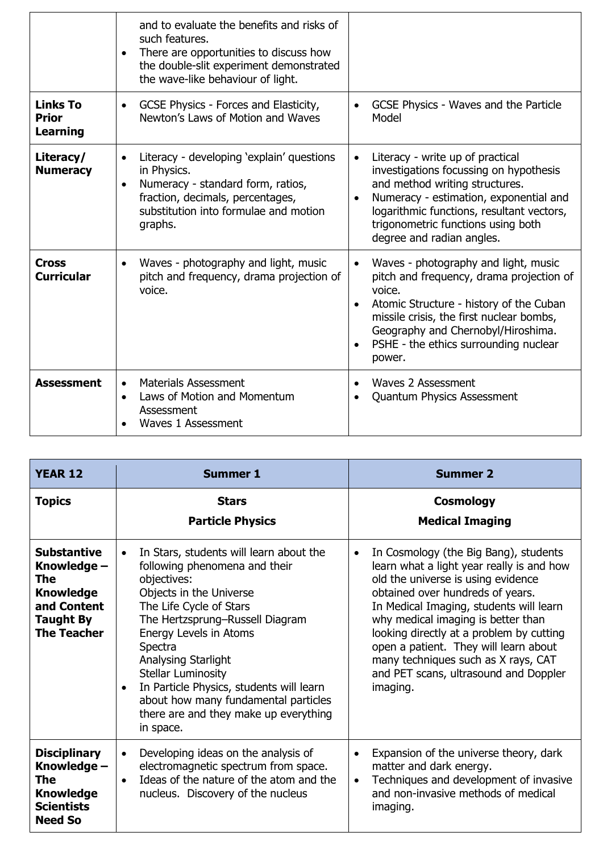|                                             | and to evaluate the benefits and risks of<br>such features.<br>There are opportunities to discuss how<br>the double-slit experiment demonstrated<br>the wave-like behaviour of light. |                                                                                                                                                                                                                                                                                                      |
|---------------------------------------------|---------------------------------------------------------------------------------------------------------------------------------------------------------------------------------------|------------------------------------------------------------------------------------------------------------------------------------------------------------------------------------------------------------------------------------------------------------------------------------------------------|
| <b>Links To</b><br><b>Prior</b><br>Learning | GCSE Physics - Forces and Elasticity,<br>$\bullet$<br>Newton's Laws of Motion and Waves                                                                                               | GCSE Physics - Waves and the Particle<br>Model                                                                                                                                                                                                                                                       |
| Literacy/<br><b>Numeracy</b>                | Literacy - developing 'explain' questions<br>in Physics.<br>Numeracy - standard form, ratios,<br>fraction, decimals, percentages,<br>substitution into formulae and motion<br>graphs. | Literacy - write up of practical<br>$\bullet$<br>investigations focussing on hypothesis<br>and method writing structures.<br>Numeracy - estimation, exponential and<br>$\bullet$<br>logarithmic functions, resultant vectors,<br>trigonometric functions using both<br>degree and radian angles.     |
| <b>Cross</b><br><b>Curricular</b>           | Waves - photography and light, music<br>$\bullet$<br>pitch and frequency, drama projection of<br>voice.                                                                               | Waves - photography and light, music<br>$\bullet$<br>pitch and frequency, drama projection of<br>voice.<br>Atomic Structure - history of the Cuban<br>$\bullet$<br>missile crisis, the first nuclear bombs,<br>Geography and Chernobyl/Hiroshima.<br>PSHE - the ethics surrounding nuclear<br>power. |
| <b>Assessment</b>                           | <b>Materials Assessment</b><br>$\bullet$<br>Laws of Motion and Momentum<br>Assessment<br>Waves 1 Assessment                                                                           | Waves 2 Assessment<br>$\bullet$<br><b>Quantum Physics Assessment</b>                                                                                                                                                                                                                                 |

| <b>YEAR 12</b>                                                                                                        | <b>Summer 1</b>                                                                                                                                                                                                                                                                                                                                                                                                                  | <b>Summer 2</b>                                                                                                                                                                                                                                                                                                                                                                                                                             |
|-----------------------------------------------------------------------------------------------------------------------|----------------------------------------------------------------------------------------------------------------------------------------------------------------------------------------------------------------------------------------------------------------------------------------------------------------------------------------------------------------------------------------------------------------------------------|---------------------------------------------------------------------------------------------------------------------------------------------------------------------------------------------------------------------------------------------------------------------------------------------------------------------------------------------------------------------------------------------------------------------------------------------|
| <b>Topics</b>                                                                                                         | <b>Stars</b><br><b>Particle Physics</b>                                                                                                                                                                                                                                                                                                                                                                                          | <b>Cosmology</b><br><b>Medical Imaging</b>                                                                                                                                                                                                                                                                                                                                                                                                  |
| <b>Substantive</b><br>Knowledge -<br>The<br><b>Knowledge</b><br>and Content<br><b>Taught By</b><br><b>The Teacher</b> | In Stars, students will learn about the<br>$\bullet$<br>following phenomena and their<br>objectives:<br>Objects in the Universe<br>The Life Cycle of Stars<br>The Hertzsprung-Russell Diagram<br>Energy Levels in Atoms<br>Spectra<br>Analysing Starlight<br><b>Stellar Luminosity</b><br>In Particle Physics, students will learn<br>about how many fundamental particles<br>there are and they make up everything<br>in space. | In Cosmology (the Big Bang), students<br>$\bullet$<br>learn what a light year really is and how<br>old the universe is using evidence<br>obtained over hundreds of years.<br>In Medical Imaging, students will learn<br>why medical imaging is better than<br>looking directly at a problem by cutting<br>open a patient. They will learn about<br>many techniques such as X rays, CAT<br>and PET scans, ultrasound and Doppler<br>imaging. |
| <b>Disciplinary</b><br>Knowledge -<br>The<br><b>Knowledge</b><br><b>Scientists</b><br><b>Need So</b>                  | Developing ideas on the analysis of<br>$\bullet$<br>electromagnetic spectrum from space.<br>Ideas of the nature of the atom and the<br>$\bullet$<br>nucleus. Discovery of the nucleus                                                                                                                                                                                                                                            | Expansion of the universe theory, dark<br>$\bullet$<br>matter and dark energy.<br>Techniques and development of invasive<br>$\bullet$<br>and non-invasive methods of medical<br>imaging.                                                                                                                                                                                                                                                    |